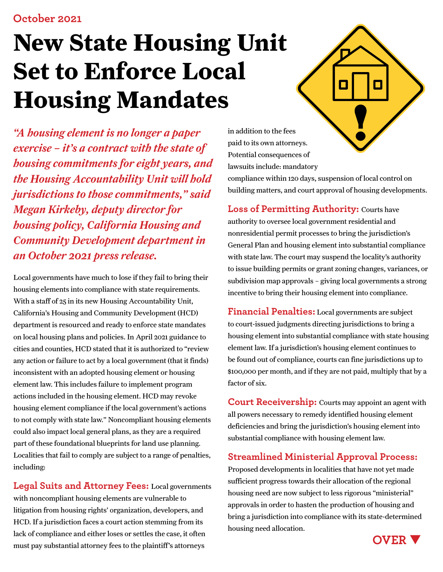# **New State Housing Unit Set to Enforce Local Housing Mandates**

*"A housing element is no longer a paper exercise – it's a contract with the state of housing commitments for eight years, and the Housing Accountability Unit will hold jurisdictions to those commitments," said Megan Kirkeby, deputy director for housing policy, California Housing and Community Development department in an October 2021 press release.* 

Local governments have much to lose if they fail to bring their housing elements into compliance with state requirements. With a staff of 25 in its new Housing Accountability Unit, California's Housing and Community Development (HCD) department is resourced and ready to enforce state mandates on local housing plans and policies. In April 2021 guidance to cities and counties, HCD stated that it is authorized to "review any action or failure to act by a local government (that it finds) inconsistent with an adopted housing element or housing element law. This includes failure to implement program actions included in the housing element. HCD may revoke housing element compliance if the local government's actions to not comply with state law." Noncompliant housing elements could also impact local general plans, as they are a required part of these foundational blueprints for land use planning. Localities that fail to comply are subject to a range of penalties, including:

**Legal Suits and Attorney Fees:** Local governments with noncompliant housing elements are vulnerable to litigation from housing rights' organization, developers, and HCD. If a jurisdiction faces a court action stemming from its lack of compliance and either loses or settles the case, it often must pay substantial attorney fees to the plaintiff's attorneys

П

in addition to the fees paid to its own attorneys. Potential consequences of lawsuits include: mandatory

compliance within 120 days, suspension of local control on building matters, and court approval of housing developments.

**Loss of Permitting Authority:** Courts have

authority to oversee local government residential and nonresidential permit processes to bring the jurisdiction's General Plan and housing element into substantial compliance with state law. The court may suspend the locality's authority to issue building permits or grant zoning changes, variances, or subdivision map approvals – giving local governments a strong incentive to bring their housing element into compliance.

**Financial Penalties:** Local governments are subject to court-issued judgments directing jurisdictions to bring a housing element into substantial compliance with state housing element law. If a jurisdiction's housing element continues to be found out of compliance, courts can fine jurisdictions up to \$100,000 per month, and if they are not paid, multiply that by a factor of six.

**Court Receivership:** Courts may appoint an agent with all powers necessary to remedy identified housing element deficiencies and bring the jurisdiction's housing element into substantial compliance with housing element law.

#### **Streamlined Ministerial Approval Process:**

Proposed developments in localities that have not yet made sufficient progress towards their allocation of the regional housing need are now subject to less rigorous "ministerial" approvals in order to hasten the production of housing and bring a jurisdiction into compliance with its state-determined housing need allocation.